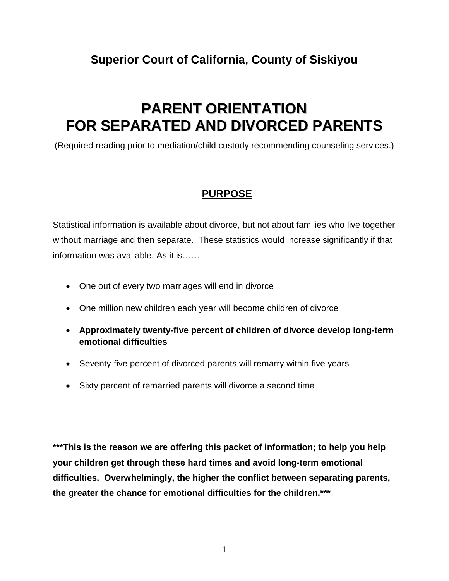# **Superior Court of California, County of Siskiyou**

# **PARENT ORIENTATION FOR SEPARATED AND DIVORCED PARENTS**

(Required reading prior to mediation/child custody recommending counseling services.)

### **PURPOSE**

Statistical information is available about divorce, but not about families who live together without marriage and then separate. These statistics would increase significantly if that information was available. As it is……

- One out of every two marriages will end in divorce
- One million new children each year will become children of divorce
- **Approximately twenty-five percent of children of divorce develop long-term emotional difficulties**
- Seventy-five percent of divorced parents will remarry within five years
- Sixty percent of remarried parents will divorce a second time

**\*\*\*This is the reason we are offering this packet of information; to help you help your children get through these hard times and avoid long-term emotional difficulties. Overwhelmingly, the higher the conflict between separating parents, the greater the chance for emotional difficulties for the children.\*\*\***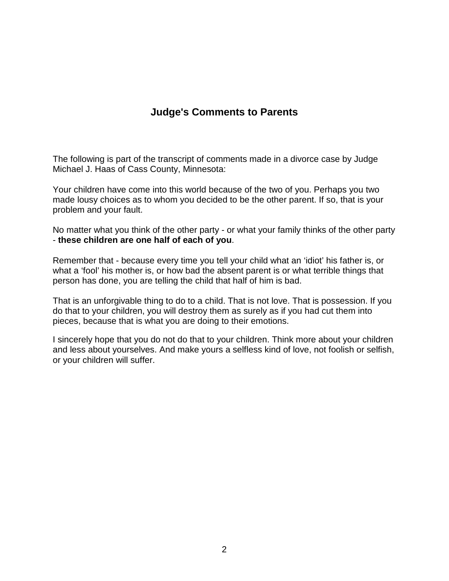# **Judge's Comments to Parents**

The following is part of the transcript of comments made in a divorce case by Judge Michael J. Haas of Cass County, Minnesota:

Your children have come into this world because of the two of you. Perhaps you two made lousy choices as to whom you decided to be the other parent. If so, that is your problem and your fault.

No matter what you think of the other party - or what your family thinks of the other party - **these children are one half of each of you**.

Remember that - because every time you tell your child what an 'idiot' his father is, or what a 'fool' his mother is, or how bad the absent parent is or what terrible things that person has done, you are telling the child that half of him is bad.

That is an unforgivable thing to do to a child. That is not love. That is possession. If you do that to your children, you will destroy them as surely as if you had cut them into pieces, because that is what you are doing to their emotions.

I sincerely hope that you do not do that to your children. Think more about your children and less about yourselves. And make yours a selfless kind of love, not foolish or selfish, or your children will suffer.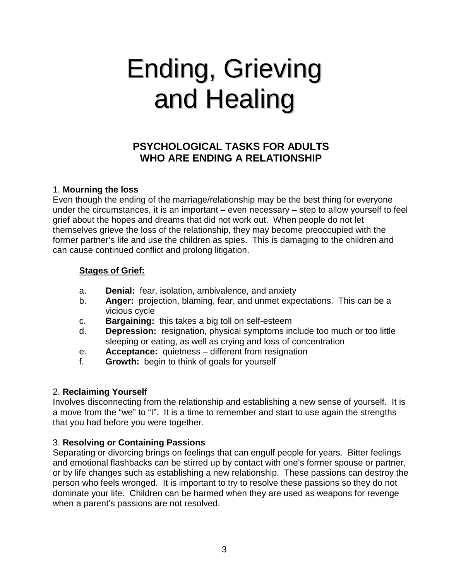# Ending, Grieving and Healing

# **PSYCHOLOGICAL TASKS FOR ADULTS WHO ARE ENDING A RELATIONSHIP**

#### 1. **Mourning the loss**

Even though the ending of the marriage/relationship may be the best thing for everyone under the circumstances, it is an important – even necessary – step to allow yourself to feel grief about the hopes and dreams that did not work out. When people do not let themselves grieve the loss of the relationship, they may become preoccupied with the former partner's life and use the children as spies. This is damaging to the children and can cause continued conflict and prolong litigation.

#### **Stages of Grief:**

- a. **Denial:** fear, isolation, ambivalence, and anxiety
- b. **Anger:** projection, blaming, fear, and unmet expectations. This can be a vicious cycle
- c. **Bargaining:** this takes a big toll on self-esteem
- d. **Depression:** resignation, physical symptoms include too much or too little sleeping or eating, as well as crying and loss of concentration
- e. **Acceptance:** quietness different from resignation
- f. **Growth:** begin to think of goals for yourself

#### 2. **Reclaiming Yourself**

Involves disconnecting from the relationship and establishing a new sense of yourself. It is a move from the "we" to "I". It is a time to remember and start to use again the strengths that you had before you were together.

#### 3. **Resolving or Containing Passions**

Separating or divorcing brings on feelings that can engulf people for years. Bitter feelings and emotional flashbacks can be stirred up by contact with one's former spouse or partner, or by life changes such as establishing a new relationship. These passions can destroy the person who feels wronged. It is important to try to resolve these passions so they do not dominate your life. Children can be harmed when they are used as weapons for revenge when a parent's passions are not resolved.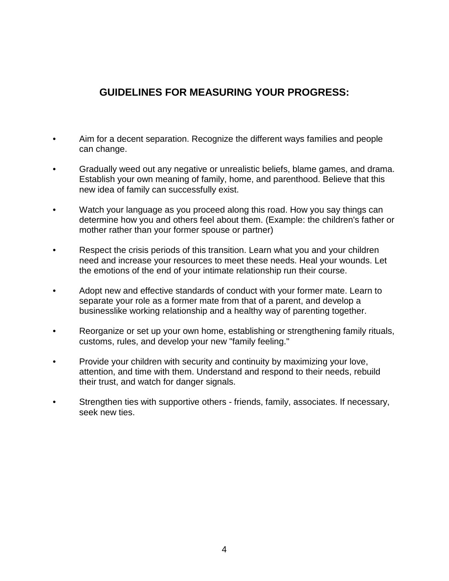# **GUIDELINES FOR MEASURING YOUR PROGRESS:**

- Aim for a decent separation. Recognize the different ways families and people can change.
- Gradually weed out any negative or unrealistic beliefs, blame games, and drama. Establish your own meaning of family, home, and parenthood. Believe that this new idea of family can successfully exist.
- Watch your language as you proceed along this road. How you say things can determine how you and others feel about them. (Example: the children's father or mother rather than your former spouse or partner)
- Respect the crisis periods of this transition. Learn what you and your children need and increase your resources to meet these needs. Heal your wounds. Let the emotions of the end of your intimate relationship run their course.
- Adopt new and effective standards of conduct with your former mate. Learn to separate your role as a former mate from that of a parent, and develop a businesslike working relationship and a healthy way of parenting together.
- Reorganize or set up your own home, establishing or strengthening family rituals, customs, rules, and develop your new "family feeling."
- Provide your children with security and continuity by maximizing your love, attention, and time with them. Understand and respond to their needs, rebuild their trust, and watch for danger signals.
- Strengthen ties with supportive others friends, family, associates. If necessary, seek new ties.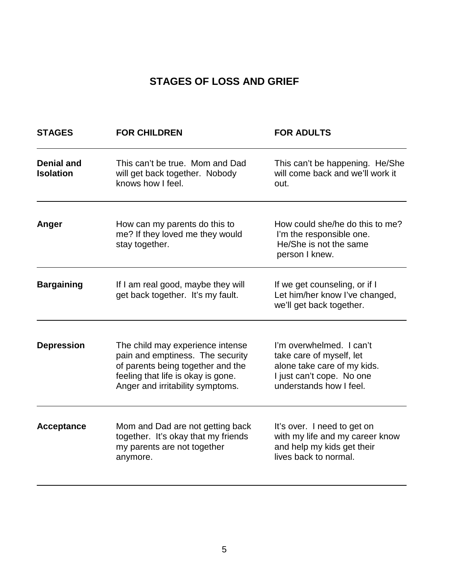# **STAGES OF LOSS AND GRIEF**

| <b>STAGES</b>                         | <b>FOR CHILDREN</b>                                                                                                                                                                 | <b>FOR ADULTS</b>                                                                                                                           |  |  |
|---------------------------------------|-------------------------------------------------------------------------------------------------------------------------------------------------------------------------------------|---------------------------------------------------------------------------------------------------------------------------------------------|--|--|
| <b>Denial and</b><br><b>Isolation</b> | This can't be true. Mom and Dad<br>will get back together. Nobody<br>knows how I feel.                                                                                              | This can't be happening. He/She<br>will come back and we'll work it<br>out.                                                                 |  |  |
| Anger                                 | How can my parents do this to<br>me? If they loved me they would<br>stay together.                                                                                                  | How could she/he do this to me?<br>I'm the responsible one.<br>He/She is not the same<br>person I knew.                                     |  |  |
| <b>Bargaining</b>                     | If I am real good, maybe they will<br>get back together. It's my fault.                                                                                                             | If we get counseling, or if I<br>Let him/her know I've changed,<br>we'll get back together.                                                 |  |  |
| <b>Depression</b>                     | The child may experience intense<br>pain and emptiness. The security<br>of parents being together and the<br>feeling that life is okay is gone.<br>Anger and irritability symptoms. | I'm overwhelmed. I can't<br>take care of myself, let<br>alone take care of my kids.<br>I just can't cope. No one<br>understands how I feel. |  |  |
| <b>Acceptance</b>                     | Mom and Dad are not getting back<br>together. It's okay that my friends<br>my parents are not together<br>anymore.                                                                  | It's over. I need to get on<br>with my life and my career know<br>and help my kids get their<br>lives back to normal.                       |  |  |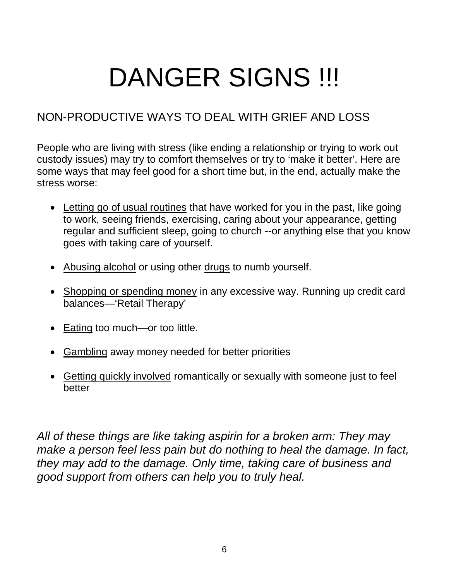# DANGER SIGNS !!!

# NON-PRODUCTIVE WAYS TO DEAL WITH GRIEF AND LOSS

People who are living with stress (like ending a relationship or trying to work out custody issues) may try to comfort themselves or try to 'make it better'. Here are some ways that may feel good for a short time but, in the end, actually make the stress worse:

- Letting go of usual routines that have worked for you in the past, like going to work, seeing friends, exercising, caring about your appearance, getting regular and sufficient sleep, going to church --or anything else that you know goes with taking care of yourself.
- Abusing alcohol or using other drugs to numb yourself.
- Shopping or spending money in any excessive way. Running up credit card balances—'Retail Therapy'
- Eating too much—or too little.
- Gambling away money needed for better priorities
- Getting quickly involved romantically or sexually with someone just to feel better

*All of these things are like taking aspirin for a broken arm: They may make a person feel less pain but do nothing to heal the damage. In fact, they may add to the damage. Only time, taking care of business and good support from others can help you to truly heal.*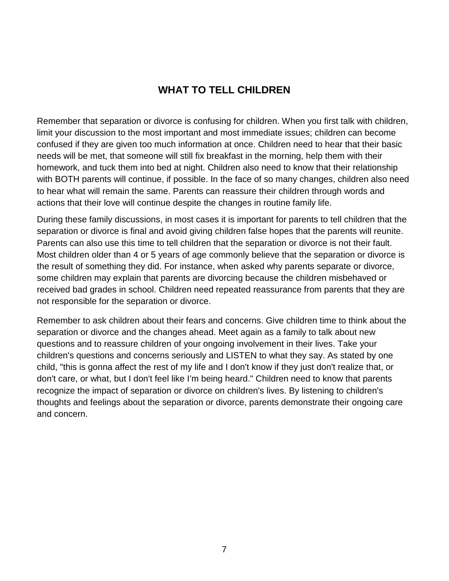# **WHAT TO TELL CHILDREN**

Remember that separation or divorce is confusing for children. When you first talk with children, limit your discussion to the most important and most immediate issues; children can become confused if they are given too much information at once. Children need to hear that their basic needs will be met, that someone will still fix breakfast in the morning, help them with their homework, and tuck them into bed at night. Children also need to know that their relationship with BOTH parents will continue, if possible. In the face of so many changes, children also need to hear what will remain the same. Parents can reassure their children through words and actions that their love will continue despite the changes in routine family life.

During these family discussions, in most cases it is important for parents to tell children that the separation or divorce is final and avoid giving children false hopes that the parents will reunite. Parents can also use this time to tell children that the separation or divorce is not their fault. Most children older than 4 or 5 years of age commonly believe that the separation or divorce is the result of something they did. For instance, when asked why parents separate or divorce, some children may explain that parents are divorcing because the children misbehaved or received bad grades in school. Children need repeated reassurance from parents that they are not responsible for the separation or divorce.

Remember to ask children about their fears and concerns. Give children time to think about the separation or divorce and the changes ahead. Meet again as a family to talk about new questions and to reassure children of your ongoing involvement in their lives. Take your children's questions and concerns seriously and LISTEN to what they say. As stated by one child, "this is gonna affect the rest of my life and I don't know if they just don't realize that, or don't care, or what, but I don't feel like I'm being heard." Children need to know that parents recognize the impact of separation or divorce on children's lives. By listening to children's thoughts and feelings about the separation or divorce, parents demonstrate their ongoing care and concern.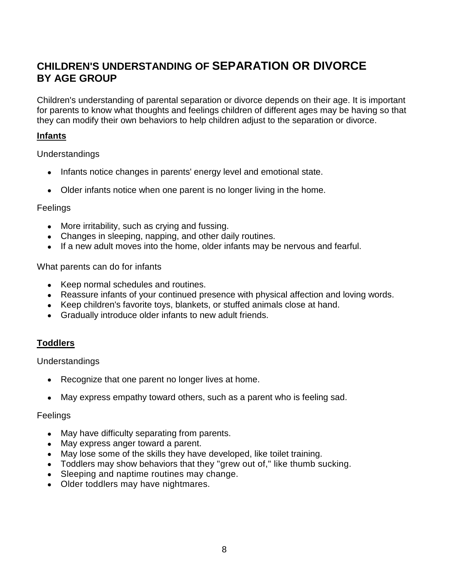# **CHILDREN'S UNDERSTANDING OF SEPARATION OR DIVORCE BY AGE GROUP**

Children's understanding of parental separation or divorce depends on their age. It is important for parents to know what thoughts and feelings children of different ages may be having so that they can modify their own behaviors to help children adjust to the separation or divorce.

#### **Infants**

Understandings

- Infants notice changes in parents' energy level and emotional state.
- Older infants notice when one parent is no longer living in the home.

#### Feelings

- More irritability, such as crying and fussing.
- Changes in sleeping, napping, and other daily routines.
- If a new adult moves into the home, older infants may be nervous and fearful.

What parents can do for infants

- Keep normal schedules and routines.
- Reassure infants of your continued presence with physical affection and loving words.
- Keep children's favorite toys, blankets, or stuffed animals close at hand.
- Gradually introduce older infants to new adult friends.

#### **Toddlers**

Understandings

- Recognize that one parent no longer lives at home.
- May express empathy toward others, such as a parent who is feeling sad.

#### **Feelings**

- May have difficulty separating from parents.
- May express anger toward a parent.
- May lose some of the skills they have developed, like toilet training.
- Toddlers may show behaviors that they "grew out of," like thumb sucking.
- Sleeping and naptime routines may change.
- Older toddlers may have nightmares.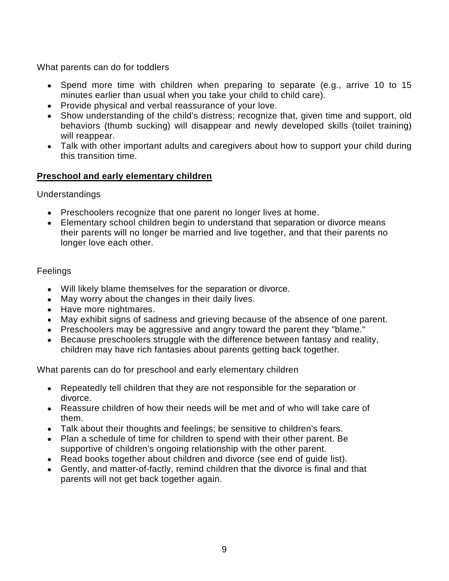What parents can do for toddlers

- Spend more time with children when preparing to separate (e.g., arrive 10 to 15 minutes earlier than usual when you take your child to child care).
- Provide physical and verbal reassurance of your love.
- Show understanding of the child's distress; recognize that, given time and support, old behaviors (thumb sucking) will disappear and newly developed skills (toilet training) will reappear.
- Talk with other important adults and caregivers about how to support your child during this transition time.

#### **Preschool and early elementary children**

Understandings

- Preschoolers recognize that one parent no longer lives at home.
- Elementary school children begin to understand that separation or divorce means their parents will no longer be married and live together, and that their parents no longer love each other.

#### **Feelings**

- Will likely blame themselves for the separation or divorce.
- May worry about the changes in their daily lives.
- Have more nightmares.
- May exhibit signs of sadness and grieving because of the absence of one parent.
- Preschoolers may be aggressive and angry toward the parent they "blame."
- Because preschoolers struggle with the difference between fantasy and reality, children may have rich fantasies about parents getting back together.

What parents can do for preschool and early elementary children

- Repeatedly tell children that they are not responsible for the separation or divorce.
- Reassure children of how their needs will be met and of who will take care of them.
- Talk about their thoughts and feelings; be sensitive to children's fears.
- Plan a schedule of time for children to spend with their other parent. Be supportive of children's ongoing relationship with the other parent.
- Read books together about children and divorce (see end of guide list).
- Gently, and matter-of-factly, remind children that the divorce is final and that parents will not get back together again.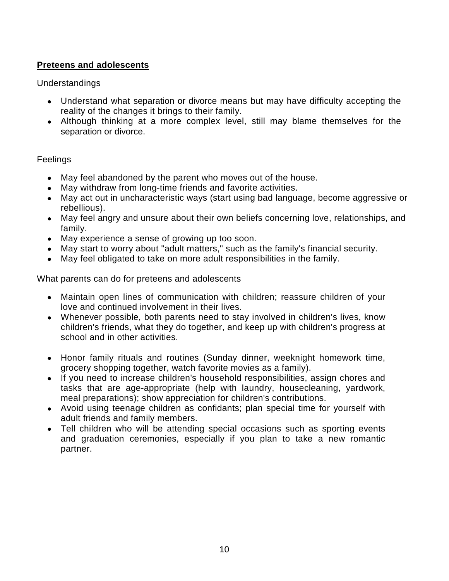#### **Preteens and adolescents**

Understandings

- Understand what separation or divorce means but may have difficulty accepting the reality of the changes it brings to their family.
- Although thinking at a more complex level, still may blame themselves for the separation or divorce.

#### Feelings

- May feel abandoned by the parent who moves out of the house.
- May withdraw from long-time friends and favorite activities.
- May act out in uncharacteristic ways (start using bad language, become aggressive or rebellious).
- May feel angry and unsure about their own beliefs concerning love, relationships, and family.
- May experience a sense of growing up too soon.
- May start to worry about "adult matters," such as the family's financial security.
- May feel obligated to take on more adult responsibilities in the family.

What parents can do for preteens and adolescents

- Maintain open lines of communication with children; reassure children of your love and continued involvement in their lives.
- Whenever possible, both parents need to stay involved in children's lives, know children's friends, what they do together, and keep up with children's progress at school and in other activities.
- Honor family rituals and routines (Sunday dinner, weeknight homework time, grocery shopping together, watch favorite movies as a family).
- If you need to increase children's household responsibilities, assign chores and tasks that are age-appropriate (help with laundry, housecleaning, yardwork, meal preparations); show appreciation for children's contributions.
- Avoid using teenage children as confidants; plan special time for yourself with adult friends and family members.
- Tell children who will be attending special occasions such as sporting events and graduation ceremonies, especially if you plan to take a new romantic partner.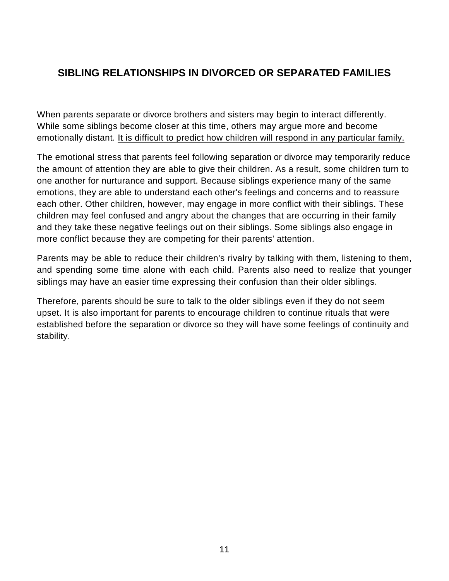# **SIBLING RELATIONSHIPS IN DIVORCED OR SEPARATED FAMILIES**

When parents separate or divorce brothers and sisters may begin to interact differently. While some siblings become closer at this time, others may argue more and become emotionally distant. It is difficult to predict how children will respond in any particular family.

The emotional stress that parents feel following separation or divorce may temporarily reduce the amount of attention they are able to give their children. As a result, some children turn to one another for nurturance and support. Because siblings experience many of the same emotions, they are able to understand each other's feelings and concerns and to reassure each other. Other children, however, may engage in more conflict with their siblings. These children may feel confused and angry about the changes that are occurring in their family and they take these negative feelings out on their siblings. Some siblings also engage in more conflict because they are competing for their parents' attention.

Parents may be able to reduce their children's rivalry by talking with them, listening to them, and spending some time alone with each child. Parents also need to realize that younger siblings may have an easier time expressing their confusion than their older siblings.

Therefore, parents should be sure to talk to the older siblings even if they do not seem upset. It is also important for parents to encourage children to continue rituals that were established before the separation or divorce so they will have some feelings of continuity and stability.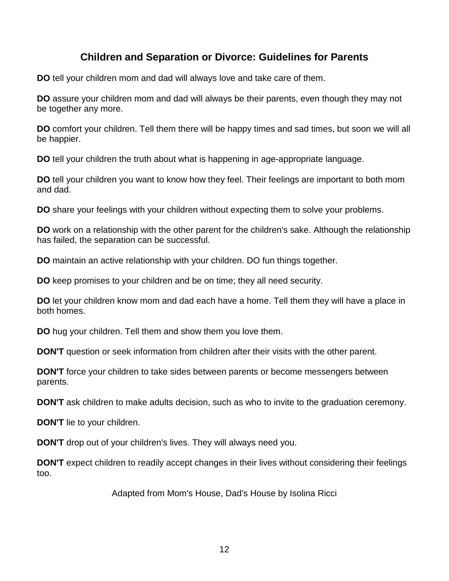### **Children and Separation or Divorce: Guidelines for Parents**

**DO** tell your children mom and dad will always love and take care of them.

**DO** assure your children mom and dad will always be their parents, even though they may not be together any more.

**DO** comfort your children. Tell them there will be happy times and sad times, but soon we will all be happier.

**DO** tell your children the truth about what is happening in age-appropriate language.

**DO** tell your children you want to know how they feel. Their feelings are important to both mom and dad.

**DO** share your feelings with your children without expecting them to solve your problems.

**DO** work on a relationship with the other parent for the children's sake. Although the relationship has failed, the separation can be successful.

**DO** maintain an active relationship with your children. DO fun things together.

**DO** keep promises to your children and be on time; they all need security.

**DO** let your children know mom and dad each have a home. Tell them they will have a place in both homes.

**DO** hug your children. Tell them and show them you love them.

**DON'T** question or seek information from children after their visits with the other parent.

**DON'T** force your children to take sides between parents or become messengers between parents.

**DON'T** ask children to make adults decision, such as who to invite to the graduation ceremony.

**DON'T** lie to your children.

**DON'T** drop out of your children's lives. They will always need you.

**DON'T** expect children to readily accept changes in their lives without considering their feelings too.

Adapted from Mom's House, Dad's House by Isolina Ricci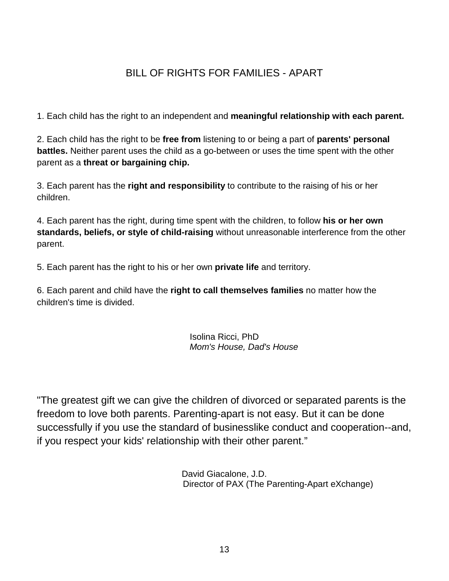# BILL OF RIGHTS FOR FAMILIES - APART

1. Each child has the right to an independent and **meaningful relationship with each parent.**

2. Each child has the right to be **free from** listening to or being a part of **parents' personal battles.** Neither parent uses the child as a go-between or uses the time spent with the other parent as a **threat or bargaining chip.**

3. Each parent has the **right and responsibility** to contribute to the raising of his or her children.

4. Each parent has the right, during time spent with the children, to follow **his or her own standards, beliefs, or style of child-raising** without unreasonable interference from the other parent.

5. Each parent has the right to his or her own **private life** and territory.

6. Each parent and child have the **right to call themselves families** no matter how the children's time is divided.

> Isolina Ricci, PhD  *Mom's House, Dad's House*

"The greatest gift we can give the children of divorced or separated parents is the freedom to love both parents. Parenting-apart is not easy. But it can be done successfully if you use the standard of businesslike conduct and cooperation--and, if you respect your kids' relationship with their other parent."

> David Giacalone, J.D. Director of PAX (The Parenting-Apart eXchange)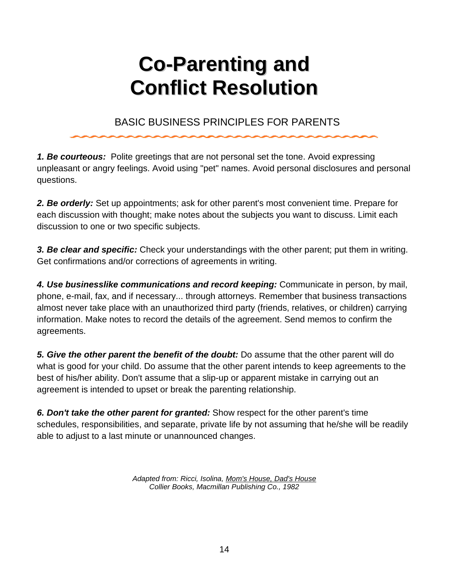# **Co-Parenting and Conflict Resolution**

# BASIC BUSINESS PRINCIPLES FOR PARENTS

*1. Be courteous:* Polite greetings that are not personal set the tone. Avoid expressing unpleasant or angry feelings. Avoid using "pet" names. Avoid personal disclosures and personal questions.

*2. Be orderly:* Set up appointments; ask for other parent's most convenient time. Prepare for each discussion with thought; make notes about the subjects you want to discuss. Limit each discussion to one or two specific subjects.

*3. Be clear and specific:* Check your understandings with the other parent; put them in writing. Get confirmations and/or corrections of agreements in writing.

*4. Use businesslike communications and record keeping:* Communicate in person, by mail, phone, e-mail, fax, and if necessary... through attorneys. Remember that business transactions almost never take place with an unauthorized third party (friends, relatives, or children) carrying information. Make notes to record the details of the agreement. Send memos to confirm the agreements.

*5. Give the other parent the benefit of the doubt:* Do assume that the other parent will do what is good for your child. Do assume that the other parent intends to keep agreements to the best of his/her ability. Don't assume that a slip-up or apparent mistake in carrying out an agreement is intended to upset or break the parenting relationship.

*6. Don't take the other parent for granted:* Show respect for the other parent's time schedules, responsibilities, and separate, private life by not assuming that he/she will be readily able to adjust to a last minute or unannounced changes.

> *Adapted from: Ricci, Isolina, Mom's House, Dad's House Collier Books, Macmillan Publishing Co., 1982*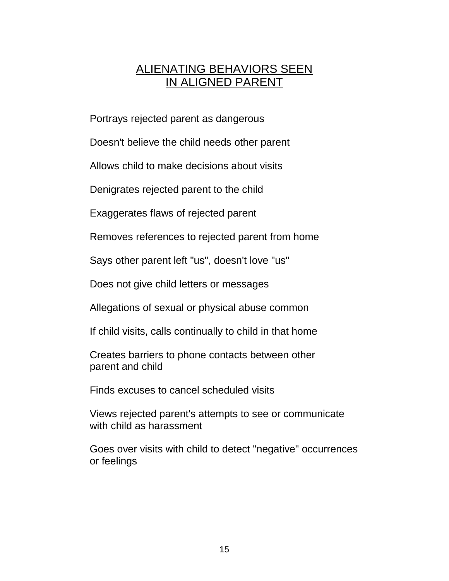# ALIENATING BEHAVIORS SEEN IN ALIGNED PARENT

Portrays rejected parent as dangerous

Doesn't believe the child needs other parent

Allows child to make decisions about visits

Denigrates rejected parent to the child

Exaggerates flaws of rejected parent

Removes references to rejected parent from home

Says other parent left "us", doesn't love "us"

Does not give child letters or messages

Allegations of sexual or physical abuse common

If child visits, calls continually to child in that home

Creates barriers to phone contacts between other parent and child

Finds excuses to cancel scheduled visits

Views rejected parent's attempts to see or communicate with child as harassment

Goes over visits with child to detect "negative" occurrences or feelings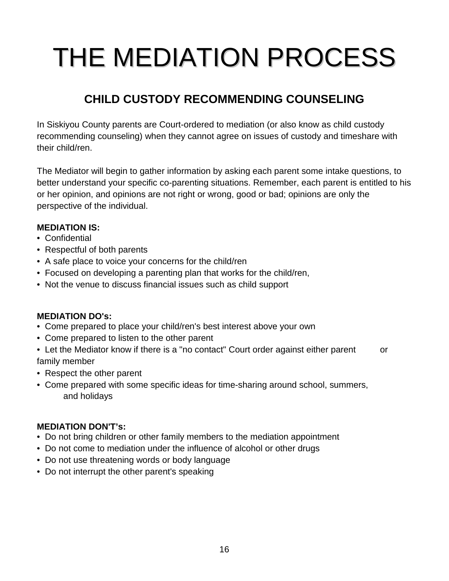# THE MEDIATION PROCESS

# **CHILD CUSTODY RECOMMENDING COUNSELING**

In Siskiyou County parents are Court-ordered to mediation (or also know as child custody recommending counseling) when they cannot agree on issues of custody and timeshare with their child/ren.

The Mediator will begin to gather information by asking each parent some intake questions, to better understand your specific co-parenting situations. Remember, each parent is entitled to his or her opinion, and opinions are not right or wrong, good or bad; opinions are only the perspective of the individual.

#### **MEDIATION IS:**

- Confidential
- Respectful of both parents
- A safe place to voice your concerns for the child/ren
- Focused on developing a parenting plan that works for the child/ren,
- Not the venue to discuss financial issues such as child support

#### **MEDIATION DO's:**

- Come prepared to place your child/ren's best interest above your own
- Come prepared to listen to the other parent

• Let the Mediator know if there is a "no contact" Court order against either parent or family member

- Respect the other parent
- Come prepared with some specific ideas for time-sharing around school, summers, and holidays

#### **MEDIATION DON'T's:**

- Do not bring children or other family members to the mediation appointment
- Do not come to mediation under the influence of alcohol or other drugs
- Do not use threatening words or body language
- Do not interrupt the other parent's speaking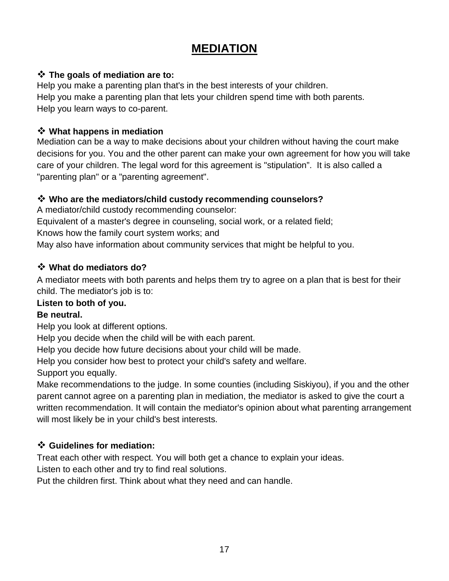# **MEDIATION**

#### **The goals of mediation are to:**

Help you make a parenting plan that's in the best interests of your children. Help you make a parenting plan that lets your children spend time with both parents. Help you learn ways to co-parent.

#### **What happens in mediation**

Mediation can be a way to make decisions about your children without having the court make decisions for you. You and the other parent can make your own agreement for how you will take care of your children. The legal word for this agreement is "stipulation". It is also called a "parenting plan" or a "parenting agreement".

#### **Who are the mediators/child custody recommending counselors?**

A mediator/child custody recommending counselor: Equivalent of a master's degree in counseling, social work, or a related field; Knows how the family court system works; and May also have information about community services that might be helpful to you.

#### **What do mediators do?**

A mediator meets with both parents and helps them try to agree on a plan that is best for their child. The mediator's job is to:

#### **Listen to both of you.**

#### **Be neutral.**

Help you look at different options.

Help you decide when the child will be with each parent.

Help you decide how future decisions about your child will be made.

Help you consider how best to protect your child's safety and welfare.

Support you equally.

Make recommendations to the judge. In some counties (including Siskiyou), if you and the other parent cannot agree on a parenting plan in mediation, the mediator is asked to give the court a written recommendation. It will contain the mediator's opinion about what parenting arrangement will most likely be in your child's best interests.

#### **Guidelines for mediation:**

Treat each other with respect. You will both get a chance to explain your ideas.

Listen to each other and try to find real solutions.

Put the children first. Think about what they need and can handle.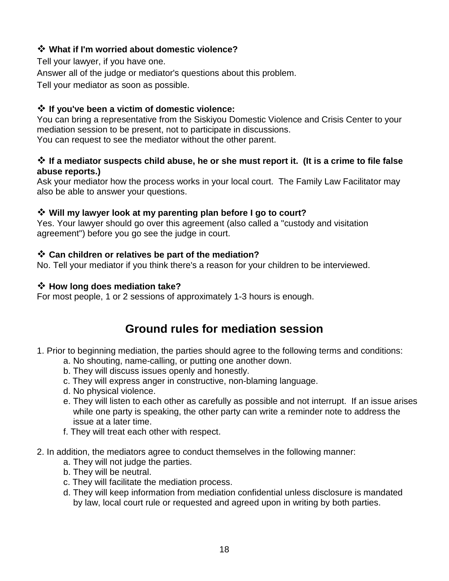#### **What if I'm worried about domestic violence?**

Tell your lawyer, if you have one.

Answer all of the judge or mediator's questions about this problem.

Tell your mediator as soon as possible.

#### **If you've been a victim of domestic violence:**

You can bring a representative from the Siskiyou Domestic Violence and Crisis Center to your mediation session to be present, not to participate in discussions. You can request to see the mediator without the other parent.

#### **<sup>◆</sup> If a mediator suspects child abuse, he or she must report it. (It is a crime to file false abuse reports.)**

Ask your mediator how the process works in your local court. The Family Law Facilitator may also be able to answer your questions.

#### **Will my lawyer look at my parenting plan before I go to court?**

Yes. Your lawyer should go over this agreement (also called a "custody and visitation agreement") before you go see the judge in court.

#### **Can children or relatives be part of the mediation?**

No. Tell your mediator if you think there's a reason for your children to be interviewed.

#### **How long does mediation take?**

For most people, 1 or 2 sessions of approximately 1-3 hours is enough.

# **Ground rules for mediation session**

- 1. Prior to beginning mediation, the parties should agree to the following terms and conditions:
	- a. No shouting, name-calling, or putting one another down.
	- b. They will discuss issues openly and honestly.
	- c. They will express anger in constructive, non-blaming language.
	- d. No physical violence.
	- e. They will listen to each other as carefully as possible and not interrupt. If an issue arises while one party is speaking, the other party can write a reminder note to address the issue at a later time.
	- f. They will treat each other with respect.
- 2. In addition, the mediators agree to conduct themselves in the following manner:
	- a. They will not judge the parties.
	- b. They will be neutral.
	- c. They will facilitate the mediation process.
	- d. They will keep information from mediation confidential unless disclosure is mandated by law, local court rule or requested and agreed upon in writing by both parties.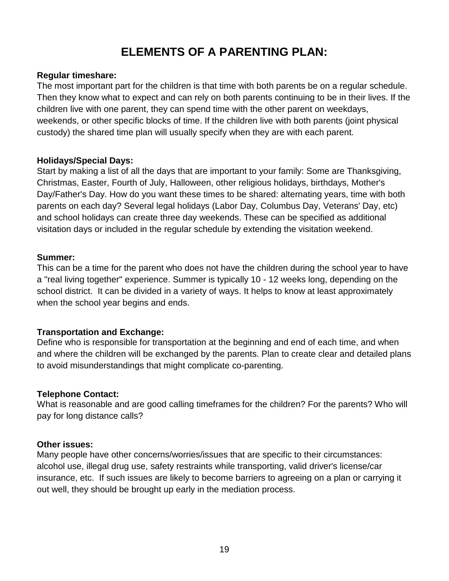# **ELEMENTS OF A PARENTING PLAN:**

#### **Regular timeshare:**

The most important part for the children is that time with both parents be on a regular schedule. Then they know what to expect and can rely on both parents continuing to be in their lives. If the children live with one parent, they can spend time with the other parent on weekdays, weekends, or other specific blocks of time. If the children live with both parents (joint physical custody) the shared time plan will usually specify when they are with each parent.

#### **Holidays/Special Days:**

Start by making a list of all the days that are important to your family: Some are Thanksgiving, Christmas, Easter, Fourth of July, Halloween, other religious holidays, birthdays, Mother's Day/Father's Day. How do you want these times to be shared: alternating years, time with both parents on each day? Several legal holidays (Labor Day, Columbus Day, Veterans' Day, etc) and school holidays can create three day weekends. These can be specified as additional visitation days or included in the regular schedule by extending the visitation weekend.

#### **Summer:**

This can be a time for the parent who does not have the children during the school year to have a "real living together" experience. Summer is typically 10 - 12 weeks long, depending on the school district. It can be divided in a variety of ways. It helps to know at least approximately when the school year begins and ends.

#### **Transportation and Exchange:**

Define who is responsible for transportation at the beginning and end of each time, and when and where the children will be exchanged by the parents. Plan to create clear and detailed plans to avoid misunderstandings that might complicate co-parenting.

#### **Telephone Contact:**

What is reasonable and are good calling timeframes for the children? For the parents? Who will pay for long distance calls?

#### **Other issues:**

Many people have other concerns/worries/issues that are specific to their circumstances: alcohol use, illegal drug use, safety restraints while transporting, valid driver's license/car insurance, etc. If such issues are likely to become barriers to agreeing on a plan or carrying it out well, they should be brought up early in the mediation process.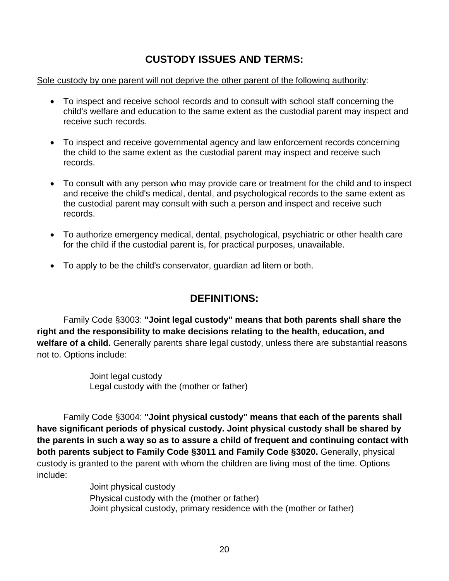# **CUSTODY ISSUES AND TERMS:**

#### Sole custody by one parent will not deprive the other parent of the following authority:

- To inspect and receive school records and to consult with school staff concerning the child's welfare and education to the same extent as the custodial parent may inspect and receive such records.
- To inspect and receive governmental agency and law enforcement records concerning the child to the same extent as the custodial parent may inspect and receive such records.
- To consult with any person who may provide care or treatment for the child and to inspect and receive the child's medical, dental, and psychological records to the same extent as the custodial parent may consult with such a person and inspect and receive such records.
- To authorize emergency medical, dental, psychological, psychiatric or other health care for the child if the custodial parent is, for practical purposes, unavailable.
- To apply to be the child's conservator, guardian ad litem or both.

# **DEFINITIONS:**

Family Code §3003: **"Joint legal custody" means that both parents shall share the right and the responsibility to make decisions relating to the health, education, and welfare of a child.** Generally parents share legal custody, unless there are substantial reasons not to. Options include:

> Joint legal custody Legal custody with the (mother or father)

Family Code §3004: **"Joint physical custody" means that each of the parents shall have significant periods of physical custody. Joint physical custody shall be shared by the parents in such a way so as to assure a child of frequent and continuing contact with both parents subject to Family Code §3011 and Family Code §3020.** Generally, physical custody is granted to the parent with whom the children are living most of the time. Options include:

> Joint physical custody Physical custody with the (mother or father) Joint physical custody, primary residence with the (mother or father)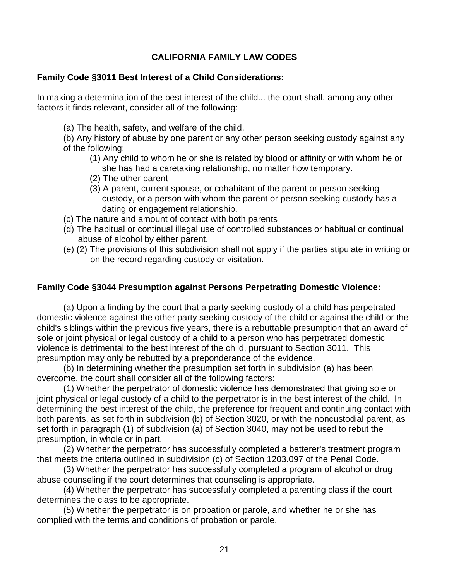#### **CALIFORNIA FAMILY LAW CODES**

#### **Family Code §3011 Best Interest of a Child Considerations:**

In making a determination of the best interest of the child... the court shall, among any other factors it finds relevant, consider all of the following:

(a) The health, safety, and welfare of the child.

(b) Any history of abuse by one parent or any other person seeking custody against any of the following:

- (1) Any child to whom he or she is related by blood or affinity or with whom he or she has had a caretaking relationship, no matter how temporary.
- (2) The other parent
- (3) A parent, current spouse, or cohabitant of the parent or person seeking custody, or a person with whom the parent or person seeking custody has a dating or engagement relationship.
- (c) The nature and amount of contact with both parents
- (d) The habitual or continual illegal use of controlled substances or habitual or continual abuse of alcohol by either parent.
- (e) (2) The provisions of this subdivision shall not apply if the parties stipulate in writing or on the record regarding custody or visitation.

#### **Family Code §3044 Presumption against Persons Perpetrating Domestic Violence:**

(a) Upon a finding by the court that a party seeking custody of a child has perpetrated domestic violence against the other party seeking custody of the child or against the child or the child's siblings within the previous five years, there is a rebuttable presumption that an award of sole or joint physical or legal custody of a child to a person who has perpetrated domestic violence is detrimental to the best interest of the child, pursuant to Section 3011. This presumption may only be rebutted by a preponderance of the evidence.

(b) In determining whether the presumption set forth in subdivision (a) has been overcome, the court shall consider all of the following factors:

 (1) Whether the perpetrator of domestic violence has demonstrated that giving sole or joint physical or legal custody of a child to the perpetrator is in the best interest of the child. In determining the best interest of the child, the preference for frequent and continuing contact with both parents, as set forth in subdivision (b) of Section 3020, or with the noncustodial parent, as set forth in paragraph (1) of subdivision (a) of Section 3040, may not be used to rebut the presumption, in whole or in part.

 (2) Whether the perpetrator has successfully completed a batterer's treatment program that meets the criteria outlined in subdivision (c) of Section 1203.097 of the Penal Code**.**

 (3) Whether the perpetrator has successfully completed a program of alcohol or drug abuse counseling if the court determines that counseling is appropriate.

 (4) Whether the perpetrator has successfully completed a parenting class if the court determines the class to be appropriate.

 (5) Whether the perpetrator is on probation or parole, and whether he or she has complied with the terms and conditions of probation or parole.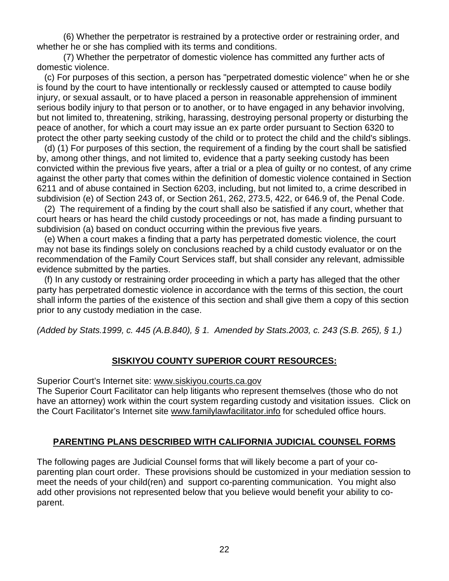(6) Whether the perpetrator is restrained by a protective order or restraining order, and whether he or she has complied with its terms and conditions.

 (7) Whether the perpetrator of domestic violence has committed any further acts of domestic violence.

 (c) For purposes of this section, a person has "perpetrated domestic violence" when he or she is found by the court to have intentionally or recklessly caused or attempted to cause bodily injury, or sexual assault, or to have placed a person in reasonable apprehension of imminent serious bodily injury to that person or to another, or to have engaged in any behavior involving, but not limited to, threatening, striking, harassing, destroying personal property or disturbing the peace of another, for which a court may issue an ex parte order pursuant to Section 6320 to protect the other party seeking custody of the child or to protect the child and the child's siblings.

 (d) (1) For purposes of this section, the requirement of a finding by the court shall be satisfied by, among other things, and not limited to, evidence that a party seeking custody has been convicted within the previous five years, after a trial or a plea of guilty or no contest, of any crime against the other party that comes within the definition of domestic violence contained in Section 6211 and of abuse contained in Section 6203, including, but not limited to, a crime described in subdivision (e) of Section 243 of, or Section 261, 262, 273.5, 422, or 646.9 of, the Penal Code.

 (2) The requirement of a finding by the court shall also be satisfied if any court, whether that court hears or has heard the child custody proceedings or not, has made a finding pursuant to subdivision (a) based on conduct occurring within the previous five years.

 (e) When a court makes a finding that a party has perpetrated domestic violence, the court may not base its findings solely on conclusions reached by a child custody evaluator or on the recommendation of the Family Court Services staff, but shall consider any relevant, admissible evidence submitted by the parties.

 (f) In any custody or restraining order proceeding in which a party has alleged that the other party has perpetrated domestic violence in accordance with the terms of this section, the court shall inform the parties of the existence of this section and shall give them a copy of this section prior to any custody mediation in the case.

*(Added by Stats.1999, c. 445 (A.B.840), § 1. Amended by Stats.2003, c. 243 (S.B. 265), § 1.)*

#### **SISKIYOU COUNTY SUPERIOR COURT RESOURCES:**

Superior Court's Internet site: [www.siskiyou.courts.ca.gov](http://www.siskiyou.courts.ca.gov/)

The Superior Court Facilitator can help litigants who represent themselves (those who do not have an attorney) work within the court system regarding custody and visitation issues. Click on the Court Facilitator's Internet site [www.familylawfacilitator.info](http://www.familylawfacilitator.info/) for scheduled office hours.

#### **PARENTING PLANS DESCRIBED WITH CALIFORNIA JUDICIAL COUNSEL FORMS**

The following pages are Judicial Counsel forms that will likely become a part of your coparenting plan court order. These provisions should be customized in your mediation session to meet the needs of your child(ren) and support co-parenting communication. You might also add other provisions not represented below that you believe would benefit your ability to coparent.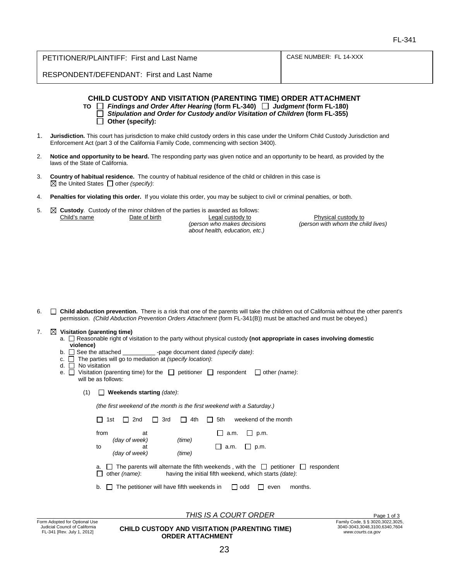| PETITIONER/PLAINTIFF: First and Last Name | CASE NUMBER: FL 14-XXX |
|-------------------------------------------|------------------------|
| RESPONDENT/DEFENDANT: First and Last Name |                        |

|    | <b>CHILD CUSTODY AND VISITATION (PARENTING TIME) ORDER ATTACHMENT</b><br>Findings and Order After Hearing (form FL-340)   Judgment (form FL-180)<br>TO I<br>Stipulation and Order for Custody and/or Visitation of Children (form FL-355)<br>Other (specify): |
|----|---------------------------------------------------------------------------------------------------------------------------------------------------------------------------------------------------------------------------------------------------------------|
|    | Jurisdiction. This court has jurisdiction to make child custody orders in this case under the Uniform Child Custody Jurisdiction and<br>Enforcement Act (part 3 of the California Family Code, commencing with section 3400).                                 |
| 2. | Notice and opportunity to be heard. The responding party was given notice and an opportunity to be heard, as provided by the<br>laws of the State of California.                                                                                              |
|    | Country of habitual residence. The country of habitual residence of the child or children in this case is                                                                                                                                                     |

- 3. **Country of habitual residence.** The country of habitual residence of the child or children in this case is  $\boxtimes$  the United States  $\Box$  other *(specify)*:
- 4. **Penalties for violating this order.** If you violate this order, you may be subject to civil or criminal penalties, or both.
- 5. **Custody**. Custody of the minor children of the parties is awarded as follows:<br>Child's name<br>**Date of birth** Legal custody to *(person who makes decisions (person with whom the child lives) about health, education, etc.)*

6. **Child abduction prevention.** There is a risk that one of the parents will take the children out of California without the other parent's permission. *(Child Abduction Prevention Orders Attachment* (form FL-341(B)) must be attached and must be obeyed.)

#### 7. **Visitation (parenting time)**

- a.  $\Box$  Reasonable right of visitation to the party without physical custody (not appropriate in cases involving domestic **violence)**<br>**b.** □ See the attached
- -page document dated *(specify date)*:
- c. The parties will go to mediation at *(specify location)*:
- d. No visitation
- e.  $\Box$  Visitation (parenting time) for the  $\Box$  petitioner  $\Box$  respondent  $\Box$  other *(name)*: will be as follows:
	- (1) **Weekends starting** *(date)*:

*(the first weekend of the month is the first weekend with a Saturday.)*

|            | 1st | 2nd                                        | 3rd | 4th              | 5th         |         | weekend of the month                                                                                                                       |                      |
|------------|-----|--------------------------------------------|-----|------------------|-------------|---------|--------------------------------------------------------------------------------------------------------------------------------------------|----------------------|
| from<br>to |     | at<br>(day of week)<br>at<br>(day of week) |     | (time)<br>(time) | $\Box$ a.m. | a.m.    | p.m.<br>$\Box$ p.m.                                                                                                                        |                      |
| a.         |     | other (name):                              |     |                  |             |         | $\Box$ The parents will alternate the fifth weekends, with the $\Box$ petitioner<br>having the initial fifth weekend, which starts (date): | respondent<br>$\Box$ |
| b.         |     | The petitioner will have fifth weekends in |     |                  |             | l I odd | even                                                                                                                                       | months.              |

**THIS IS A COURT ORDER** Page 1 of 3

**CHILD CUSTODY AND VISITATION (PARENTING TIME) ORDER ATTACHMENT**

Physical custody to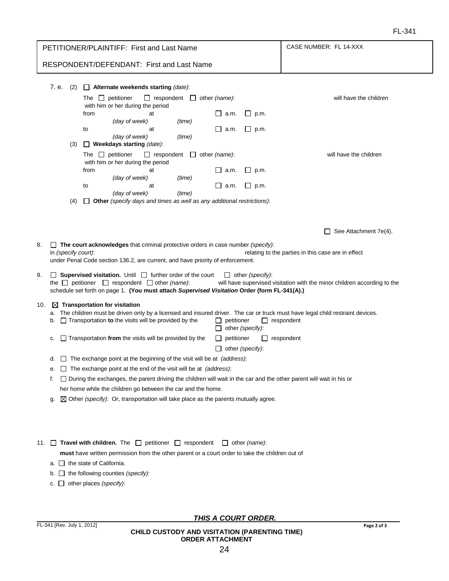| PETITIONER/PLAINTIFF: First and Last Name |                            |                                 | CASE NUMBER: FL 14-XXX                                                                                                                                                                                                                                                                                                                                                                                                                                                                                                     |                                                                                                                          |                                                                                              |                                                                  |                                                                                                                                                                                                                                                                                               |
|-------------------------------------------|----------------------------|---------------------------------|----------------------------------------------------------------------------------------------------------------------------------------------------------------------------------------------------------------------------------------------------------------------------------------------------------------------------------------------------------------------------------------------------------------------------------------------------------------------------------------------------------------------------|--------------------------------------------------------------------------------------------------------------------------|----------------------------------------------------------------------------------------------|------------------------------------------------------------------|-----------------------------------------------------------------------------------------------------------------------------------------------------------------------------------------------------------------------------------------------------------------------------------------------|
|                                           |                            |                                 | RESPONDENT/DEFENDANT: First and Last Name                                                                                                                                                                                                                                                                                                                                                                                                                                                                                  |                                                                                                                          |                                                                                              |                                                                  |                                                                                                                                                                                                                                                                                               |
|                                           | 7. e.<br>(2)<br>(3)<br>(4) | from<br>to<br>from<br>to        | $\Box$ Alternate weekends starting (date):<br>The $\Box$ petitioner<br>with him or her during the period<br>at<br>(day of week)<br>at<br>(day of week)<br>$\Box$ Weekdays starting (date):<br>The $\Box$ petitioner<br>with him or her during the period<br>at<br>(day of week)<br>at<br>(day of week)<br>$\Box$ Other (specify days and times as well as any additional restrictions):                                                                                                                                    | $\Box$ respondent $\Box$ other (name):<br>(time)<br>(time)<br>$\Box$ respondent $\Box$ other (name):<br>(time)<br>(time) | ∐ a.m.<br>∐ a.m.<br>$\Box$ a.m.<br>⊔<br>a.m.                                                 | $\sqcup$ p.m.<br>$\sqcup$ p.m.<br>$\sqcup$ p.m.<br>$\sqcup$ p.m. | will have the children<br>will have the children                                                                                                                                                                                                                                              |
| 8.                                        | in (specify court):        |                                 | $\Box$ The court acknowledges that criminal protective orders in case number (specify):<br>under Penal Code section 136.2, are current, and have priority of enforcement.                                                                                                                                                                                                                                                                                                                                                  |                                                                                                                          |                                                                                              |                                                                  | See Attachment 7e(4).<br>relating to the parties in this case are in effect                                                                                                                                                                                                                   |
| 9.                                        |                            |                                 | $\Box$ Supervised visitation. Until $\Box$ further order of the court<br>the $\Box$ petitioner $\Box$ respondent $\Box$ other (name):<br>schedule set forth on page 1. (You must attach Supervised Visitation Order (form FL-341(A).)                                                                                                                                                                                                                                                                                      |                                                                                                                          |                                                                                              | $\Box$ other (specify):                                          | will have supervised visitation with the minor children according to the                                                                                                                                                                                                                      |
| 10.<br>f.<br>g.                           | a.<br>b.<br>c.<br>е.       |                                 | $\boxtimes$ Transportation for visitation<br>$\Box$ Transportation to the visits will be provided by the<br>$\Box$ Transportation from the visits will be provided by the<br>d. $\Box$ The exchange point at the beginning of the visit will be at <i>(address)</i> :<br>$\Box$ The exchange point at the end of the visit will be at <i>(address)</i> :<br>her home while the children go between the car and the home.<br>$\boxtimes$ Other (specify): Or, transportation will take place as the parents mutually agree. |                                                                                                                          | $\Box$ petitioner<br>$\Box$ other (specify):<br>$\Box$ petitioner<br>$\Box$ other (specify): |                                                                  | The children must be driven only by a licensed and insured driver. The car or truck must have legal child restraint devices.<br>$\Box$ respondent<br>respondent<br>$\Box$ During the exchanges, the parent driving the children will wait in the car and the other parent will wait in his or |
| 11. ⊔                                     | a.                         | $\Box$ the state of California. | <b>Travel with children.</b> The $\Box$ petitioner $\Box$ respondent $\Box$ other (name):<br>must have written permission from the other parent or a court order to take the children out of<br>b. $\Box$ the following counties (specify):                                                                                                                                                                                                                                                                                |                                                                                                                          |                                                                                              |                                                                  |                                                                                                                                                                                                                                                                                               |

c.  $\Box$  other places *(specify)*:

*THIS A COURT ORDER.*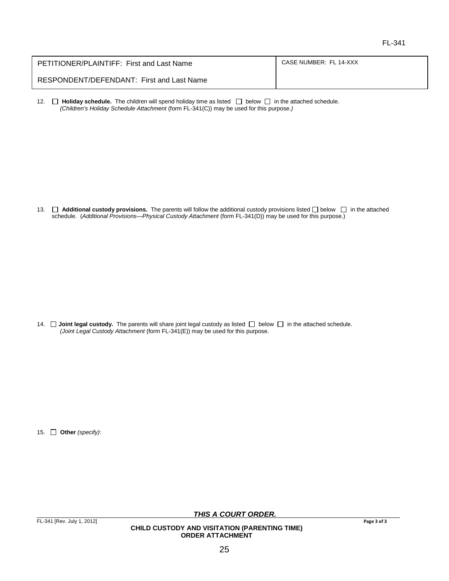| PETITIONER/PLAINTIFF: First and Last Name | CASE NUMBER: FL 14-XXX |
|-------------------------------------------|------------------------|
| RESPONDENT/DEFENDANT: First and Last Name |                        |

12.  $\Box$  **Holiday schedule.** The children will spend holiday time as listed  $\Box$  below  $\Box$  in the attached schedule. *(Children's Holiday Schedule Attachment* (form FL-341(C)) may be used for this purpose.*)*

13. **Additional custody provisions.** The parents will follow the additional custody provisions listed **below b** in the attached schedule. (*Additional Provisions—Physical Custody Attachment* (form FL-341(D)) may be used for this purpose.)

14.  $\Box$  Joint legal custody. The parents will share joint legal custody as listed  $\Box$  below  $\Box$  in the attached schedule. *(Joint Legal Custody Attachment* (form FL-341(E)) may be used for this purpose.

15. **Other** *(specify)*:

*THIS A COURT ORDER.*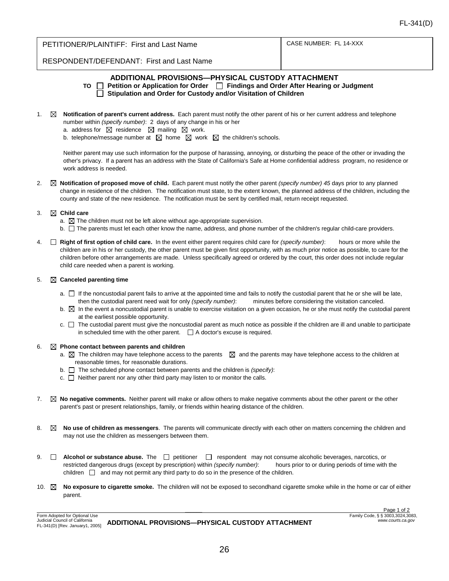| <b>PETITIONER/PLAINTIFF: First and Last Name</b>   | CASE NUMBER: FL 14-XXX |  |
|----------------------------------------------------|------------------------|--|
| <b>DECDONIDENT/DECENIDANT: Eirct and Lost Name</b> |                        |  |

RESPONDENT/DEFENDANT: First and Last Name

#### **ADDITIONAL PROVISIONS—PHYSICAL CUSTODY ATTACHMENT**

- TO **□ Petition or Application for Order** □ Findings and Order After Hearing or Judgment **Stipulation and Order for Custody and/or Visitation of Children**
- 1. **Notification of parent's current address.** Each parent must notify the other parent of his or her current address and telephone number within *(specify number)*: 2 days of any change in his or her
	- a. address for  $\boxtimes$  residence  $\boxtimes$  mailing  $\boxtimes$  work.
	- b. telephone/message number at  $\boxtimes$  home  $\boxtimes$  work  $\boxtimes$  the children's schools.

Neither parent may use such information for the purpose of harassing, annoying, or disturbing the peace of the other or invading the other's privacy. If a parent has an address with the State of California's Safe at Home confidential address program, no residence or work address is needed.

2. **Notification of proposed move of child.** Each parent must notify the other parent *(specify number) 45* days prior to any planned change in residence of the children. The notification must state, to the extent known, the planned address of the children, including the county and state of the new residence. The notification must be sent by certified mail, return receipt requested.

#### 3. **Child care**

- a.  $\boxtimes$  The children must not be left alone without age-appropriate supervision.
- $b.$   $\Box$  The parents must let each other know the name, address, and phone number of the children's regular child-care providers.
- 4. **Right of first option of child care.** In the event either parent requires child care for *(specify number)*: hours or more while the children are in his or her custody, the other parent must be given first opportunity, with as much prior notice as possible, to care for the children before other arrangements are made. Unless specifically agreed or ordered by the court, this order does not include regular child care needed when a parent is working.

#### 5. **Canceled parenting time**

- a.  $\Box$  If the noncustodial parent fails to arrive at the appointed time and fails to notify the custodial parent that he or she will be late, then the custodial parent need wait for only *(specify number)*: minutes before considering the visitation canceled.
- $b. \boxtimes$  In the event a noncustodial parent is unable to exercise visitation on a given occasion, he or she must notify the custodial parent at the earliest possible opportunity.
- $c.$   $\Box$  The custodial parent must give the noncustodial parent as much notice as possible if the children are ill and unable to participate in scheduled time with the other parent.  $\Box$  A doctor's excuse is required.

#### 6. **Phone contact between parents and children**

- a.  $\boxtimes$  The children may have telephone access to the parents  $\boxtimes$  and the parents may have telephone access to the children at reasonable times, for reasonable durations.
- b. The scheduled phone contact between parents and the children is *(specify)*:
- $c.$   $\Box$  Neither parent nor any other third party may listen to or monitor the calls.
- 7. **No negative comments.** Neither parent will make or allow others to make negative comments about the other parent or the other parent's past or present relationships, family, or friends within hearing distance of the children.
- 8.  $\boxtimes$  **No use of children as messengers**. The parents will communicate directly with each other on matters concerning the children and may not use the children as messengers between them.
- 9. **Alcohol or substance abuse.** The  $\Box$  petitioner  $\Box$  respondent may not consume alcoholic beverages, narcotics, or restricted dangerous drugs (except by prescription) within *(specify number)*: hours prior to or during periods of time with the children  $\Box$  and may not permit any third party to do so in the presence of the children.
- 10. **No exposure to cigarette smoke.** The children will not be exposed to secondhand cigarette smoke while in the home or car of either parent.

Form Adopted for Optional Use Judicial Council of California ADDITIONAL PROVISIONS—PHYSICAL CUSTODY ATTACHMENT

*\_\_\_\_\_\_* Page 1 of 2 Family Code, § § 3003,3024,3083, *www.courts.ca.gov*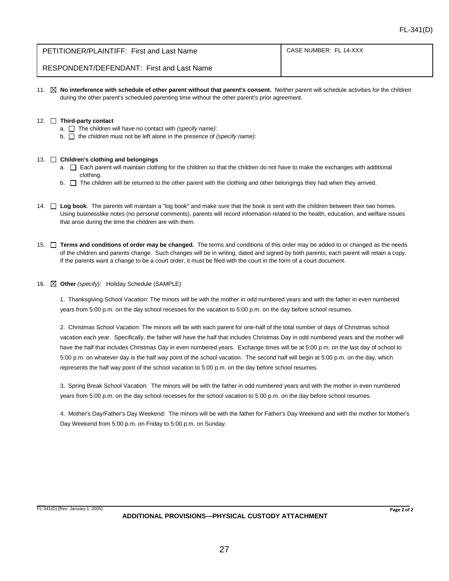| PETITIONER/PLAINTIFF: First and Last Name | CASE NUMBER: FL 14-XXX |
|-------------------------------------------|------------------------|
|                                           |                        |

RESPONDENT/DEFENDANT: First and Last Name

11. **X** No interference with schedule of other parent without that parent's consent. Neither parent will schedule activities for the children during the other parent's scheduled parenting time without the other parent's prior agreement.

#### 12. **Third-party contact**

- a.  $\Box$  The children will have no contact with *(specify name)*:
- b. □ the children must not be left alone in the presence of *(specify name)*:

#### 13. **Children's clothing and belongings**

- a.  $\Box$  Each parent will maintain clothing for the children so that the children do not have to make the exchanges with additional clothing.
- $b.$  The children will be returned to the other parent with the clothing and other belongings they had when they arrived.
- 14.  $\Box$  Log book. The parents will maintain a "log book" and make sure that the book is sent with the children between their two homes. Using businesslike notes (no personal comments), parents will record information related to the health, education, and welfare issues that arise during the time the children are with them.
- 15.  $\Box$  Terms and conditions of order may be changed. The terms and conditions of this order may be added to or changed as the needs of the children and parents change. Such changes will be in writing, dated and signed by both parents; each parent will retain a copy. If the parents want a change to be a court order, it must be filed with the court in the form of a court document.

#### 16. **Other** *(specify)*: Holiday Schedule (SAMPLE)

1. Thanksgiving School Vacation: The minors will be with the mother in odd numbered years and with the father in even numbered years from 5:00 p.m. on the day school recesses for the vacation to 5:00 p.m. on the day before school resumes.

2. Christmas School Vacation: The minors will be with each parent for one-half of the total number of days of Christmas school vacation each year. Specifically, the father will have the half that includes Christmas Day in odd numbered years and the mother will have the half that includes Christmas Day in even numbered years. Exchange times will be at 5:00 p.m. on the last day of school to 5:00 p.m. on whatever day is the half way point of the school vacation. The second half will begin at 5:00 p.m. on the day, which represents the half way point of the school vacation to 5:00 p.m. on the day before school resumes.

3. Spring Break School Vacation: The minors will be with the father in odd numbered years and with the mother in even numbered years from 5:00 p.m. on the day school recesses for the school vacation to 5:00 p.m. on the day before school resumes.

4. Mother's Day/Father's Day Weekend: The minors will be with the father for Father's Day Weekend and with the mother for Mother's Day Weekend from 5:00 p.m. on Friday to 5:00 p.m. on Sunday.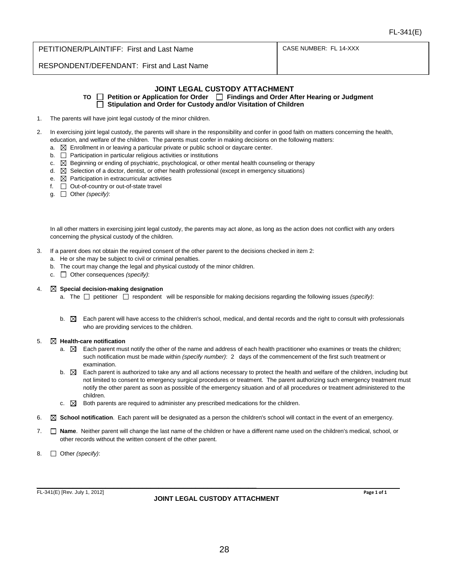CASE NUMBER: FL 14-XXX

RESPONDENT/DEFENDANT: First and Last Name

#### **JOINT LEGAL CUSTODY ATTACHMENT**

TO **□ Petition or Application for Order** □ Findings and Order After Hearing or Judgment **Stipulation and Order for Custody and/or Visitation of Children**

- 1. The parents will have joint legal custody of the minor children.
- 2. In exercising joint legal custody, the parents will share in the responsibility and confer in good faith on matters concerning the health, education, and welfare of the children. The parents must confer in making decisions on the following matters:
	- a.  $\boxtimes$  Enrollment in or leaving a particular private or public school or davcare center.
	- $b.$   $\Box$  Participation in particular religious activities or institutions
	- c.  $\boxtimes$  Beginning or ending of psychiatric, psychological, or other mental health counseling or therapy
	- d.  $\boxtimes$  Selection of a doctor, dentist, or other health professional (except in emergency situations)
	- e.  $\boxtimes$  Participation in extracurricular activities
	- f.  $\Box$  Out-of-country or out-of-state travel
	- g. Other *(specify)*:

In all other matters in exercising joint legal custody, the parents may act alone, as long as the action does not conflict with any orders concerning the physical custody of the children.

- 3. If a parent does not obtain the required consent of the other parent to the decisions checked in item 2:
	- a. He or she may be subject to civil or criminal penalties.
	- b. The court may change the legal and physical custody of the minor children.
	- c. Other consequences *(specify)*:

#### 4. **Special decision-making designation**

- a. The  $\Box$  petitioner  $\Box$  respondent will be responsible for making decisions regarding the following issues *(specify)*:
- $b. \boxtimes$  Each parent will have access to the children's school, medical, and dental records and the right to consult with professionals who are providing services to the children.

#### 5. **Health-care notification**

- a.  $\boxtimes$  Each parent must notify the other of the name and address of each health practitioner who examines or treats the children; such notification must be made within *(specify number)*: 2 days of the commencement of the first such treatment or examination.
- $b. \boxtimes$  Each parent is authorized to take any and all actions necessary to protect the health and welfare of the children, including but not limited to consent to emergency surgical procedures or treatment. The parent authorizing such emergency treatment must notify the other parent as soon as possible of the emergency situation and of all procedures or treatment administered to the children.
- c.  $\boxtimes$  Both parents are required to administer any prescribed medications for the children.
- 6. **School notification**. Each parent will be designated as a person the children's school will contact in the event of an emergency.
- 7. **Name**. Neither parent will change the last name of the children or have a different name used on the children's medical, school, or other records without the written consent of the other parent.
- 8. Other *(specify)*:

*\_\_\_\_\_\_\_\_\_\_\_\_\_\_\_\_\_\_\_\_\_\_\_\_\_\_\_\_\_\_\_\_\_\_\_\_\_\_\_\_\_\_\_\_\_\_\_\_\_\_\_\_\_\_* FL-341(E) [Rev. July 1, 2012]

#### **JOINT LEGAL CUSTODY ATTACHMENT**

**Page 1 of 1**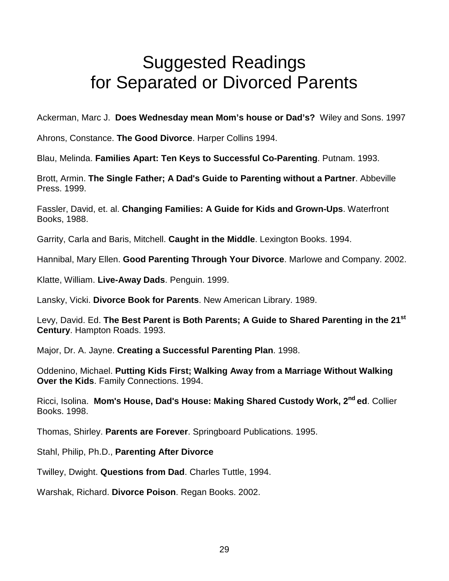# Suggested Readings for Separated or Divorced Parents

Ackerman, Marc J. **Does Wednesday mean Mom's house or Dad's?** Wiley and Sons. 1997

Ahrons, Constance. **The Good Divorce**. Harper Collins 1994.

Blau, Melinda. **Families Apart: Ten Keys to Successful Co-Parenting**. Putnam. 1993.

Brott, Armin. **The Single Father; A Dad's Guide to Parenting without a Partner**. Abbeville Press. 1999.

Fassler, David, [et. al.](http://et.al/) **Changing Families: A Guide for Kids and Grown-Ups**. Waterfront Books, 1988.

Garrity, Carla and Baris, Mitchell. **Caught in the Middle**. Lexington Books. 1994.

Hannibal, Mary Ellen. **Good Parenting Through Your Divorce**. Marlowe and Company. 2002.

Klatte, William. **Live-Away Dads**. Penguin. 1999.

Lansky, Vicki. **Divorce Book for Parents**. New American Library. 1989.

Levy, David. Ed. **The Best Parent is Both Parents; A Guide to Shared Parenting in the 21st Century**. Hampton Roads. 1993.

Major, Dr. A. Jayne. **Creating a Successful Parenting Plan**. 1998.

Oddenino, Michael. **Putting Kids First; Walking Away from a Marriage Without Walking Over the Kids**. Family Connections. 1994.

Ricci, Isolina. **Mom's House, Dad's House: Making Shared Custody Work, 2nd ed**. Collier Books. 1998.

Thomas, Shirley. **Parents are Forever**. Springboard Publications. 1995.

Stahl, Philip, Ph.D., **Parenting After Divorce**

Twilley, Dwight. **Questions from Dad**. Charles Tuttle, 1994.

Warshak, Richard. **Divorce Poison**. Regan Books. 2002.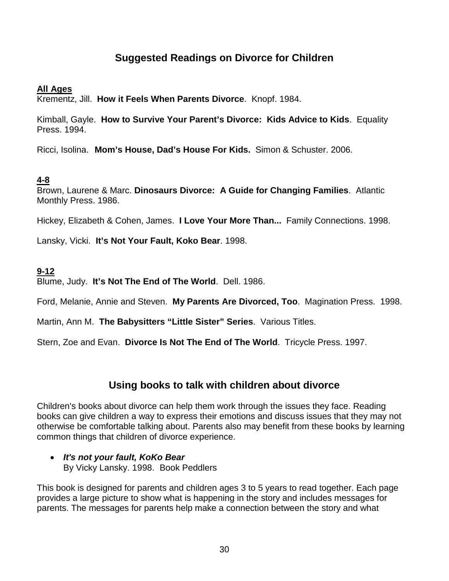# **Suggested Readings on Divorce for Children**

#### **All Ages**

Krementz, Jill. **How it Feels When Parents Divorce**. Knopf. 1984.

Kimball, Gayle. **How to Survive Your Parent's Divorce: Kids Advice to Kids**. Equality Press. 1994.

Ricci, Isolina. **Mom's House, Dad's House For Kids.** Simon & Schuster. 2006.

#### **4-8**

Brown, Laurene & Marc. **Dinosaurs Divorce: A Guide for Changing Families**. Atlantic Monthly Press. 1986.

Hickey, Elizabeth & Cohen, James. **I Love Your More Than...** Family Connections. 1998.

Lansky, Vicki. **It's Not Your Fault, Koko Bear**. 1998.

#### **9-12**

Blume, Judy. **It's Not The End of The World**. Dell. 1986.

Ford, Melanie, Annie and Steven. **My Parents Are Divorced, Too**. Magination Press. 1998.

Martin, Ann M. **The Babysitters "Little Sister" Series**. Various Titles.

Stern, Zoe and Evan. **Divorce Is Not The End of The World**. Tricycle Press. 1997.

#### **Using books to talk with children about divorce**

Children's books about divorce can help them work through the issues they face. Reading books can give children a way to express their emotions and discuss issues that they may not otherwise be comfortable talking about. Parents also may benefit from these books by learning common things that children of divorce experience.

• *It's not your fault, KoKo Bear* By Vicky Lansky. 1998. Book Peddlers

This book is designed for parents and children ages 3 to 5 years to read together. Each page provides a large picture to show what is happening in the story and includes messages for parents. The messages for parents help make a connection between the story and what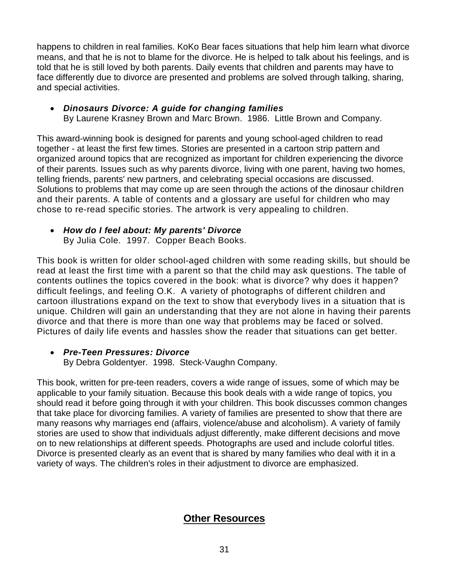happens to children in real families. KoKo Bear faces situations that help him learn what divorce means, and that he is not to blame for the divorce. He is helped to talk about his feelings, and is told that he is still loved by both parents. Daily events that children and parents may have to face differently due to divorce are presented and problems are solved through talking, sharing, and special activities.

• *Dinosaurs Divorce: A guide for changing families*  By Laurene Krasney Brown and Marc Brown. 1986. Little Brown and Company.

This award-winning book is designed for parents and young school-aged children to read together - at least the first few times. Stories are presented in a cartoon strip pattern and organized around topics that are recognized as important for children experiencing the divorce of their parents. Issues such as why parents divorce, living with one parent, having two homes, telling friends, parents' new partners, and celebrating special occasions are discussed. Solutions to problems that may come up are seen through the actions of the dinosaur children and their parents. A table of contents and a glossary are useful for children who may chose to re-read specific stories. The artwork is very appealing to children.

• *How do I feel about: My parents' Divorce* By Julia Cole. 1997. Copper Beach Books.

This book is written for older school-aged children with some reading skills, but should be read at least the first time with a parent so that the child may ask questions. The table of contents outlines the topics covered in the book: what is divorce? why does it happen? difficult feelings, and feeling O.K. A variety of photographs of different children and cartoon illustrations expand on the text to show that everybody lives in a situation that is unique. Children will gain an understanding that they are not alone in having their parents divorce and that there is more than one way that problems may be faced or solved. Pictures of daily life events and hassles show the reader that situations can get better.

#### • *Pre-Teen Pressures: Divorce*

By Debra Goldentyer. 1998. Steck-Vaughn Company.

This book, written for pre-teen readers, covers a wide range of issues, some of which may be applicable to your family situation. Because this book deals with a wide range of topics, you should read it before going through it with your children. This book discusses common changes that take place for divorcing families. A variety of families are presented to show that there are many reasons why marriages end (affairs, violence/abuse and alcoholism). A variety of family stories are used to show that individuals adjust differently, make different decisions and move on to new relationships at different speeds. Photographs are used and include colorful titles. Divorce is presented clearly as an event that is shared by many families who deal with it in a variety of ways. The children's roles in their adjustment to divorce are emphasized.

# **Other Resources**